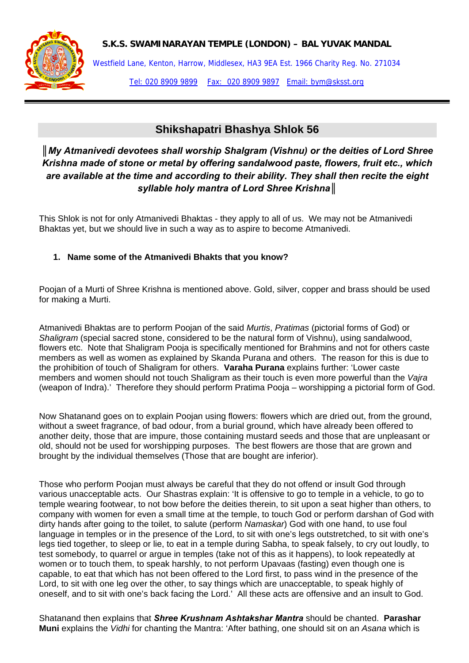**S.K.S. SWAMINARAYAN TEMPLE (LONDON) – BAL YUVAK MANDAL** 



Westfield Lane, Kenton, Harrow, Middlesex, HA3 9EA Est. 1966 Charity Reg. No. 271034 Tel: 020 8909 9899 Fax: 020 8909 9897 Email: bym@sksst.org

## **Shikshapatri Bhashya Shlok 56**

*║My Atmanivedi devotees shall worship Shalgram (Vishnu) or the deities of Lord Shree Krishna made of stone or metal by offering sandalwood paste, flowers, fruit etc., which are available at the time and according to their ability. They shall then recite the eight syllable holy mantra of Lord Shree Krishna║*

This Shlok is not for only Atmanivedi Bhaktas - they apply to all of us. We may not be Atmanivedi Bhaktas yet, but we should live in such a way as to aspire to become Atmanivedi.

## **1. Name some of the Atmanivedi Bhakts that you know?**

Poojan of a Murti of Shree Krishna is mentioned above. Gold, silver, copper and brass should be used for making a Murti.

Atmanivedi Bhaktas are to perform Poojan of the said *Murtis*, *Pratimas* (pictorial forms of God) or *Shaligram* (special sacred stone, considered to be the natural form of Vishnu), using sandalwood, flowers etc. Note that Shaligram Pooja is specifically mentioned for Brahmins and not for others caste members as well as women as explained by Skanda Purana and others. The reason for this is due to the prohibition of touch of Shaligram for others. **Varaha Purana** explains further: 'Lower caste members and women should not touch Shaligram as their touch is even more powerful than the *Vajra* (weapon of Indra).' Therefore they should perform Pratima Pooja – worshipping a pictorial form of God.

Now Shatanand goes on to explain Poojan using flowers: flowers which are dried out, from the ground, without a sweet fragrance, of bad odour, from a burial ground, which have already been offered to another deity, those that are impure, those containing mustard seeds and those that are unpleasant or old, should not be used for worshipping purposes. The best flowers are those that are grown and brought by the individual themselves (Those that are bought are inferior).

Those who perform Poojan must always be careful that they do not offend or insult God through various unacceptable acts. Our Shastras explain: 'It is offensive to go to temple in a vehicle, to go to temple wearing footwear, to not bow before the deities therein, to sit upon a seat higher than others, to company with women for even a small time at the temple, to touch God or perform darshan of God with dirty hands after going to the toilet, to salute (perform *Namaskar*) God with one hand, to use foul language in temples or in the presence of the Lord, to sit with one's legs outstretched, to sit with one's legs tied together, to sleep or lie, to eat in a temple during Sabha, to speak falsely, to cry out loudly, to test somebody, to quarrel or argue in temples (take not of this as it happens), to look repeatedly at women or to touch them, to speak harshly, to not perform Upavaas (fasting) even though one is capable, to eat that which has not been offered to the Lord first, to pass wind in the presence of the Lord, to sit with one leg over the other, to say things which are unacceptable, to speak highly of oneself, and to sit with one's back facing the Lord.' All these acts are offensive and an insult to God.

Shatanand then explains that *Shree Krushnam Ashtakshar Mantra* should be chanted. **Parashar Muni** explains the *Vidhi* for chanting the Mantra: 'After bathing, one should sit on an *Asana* which is